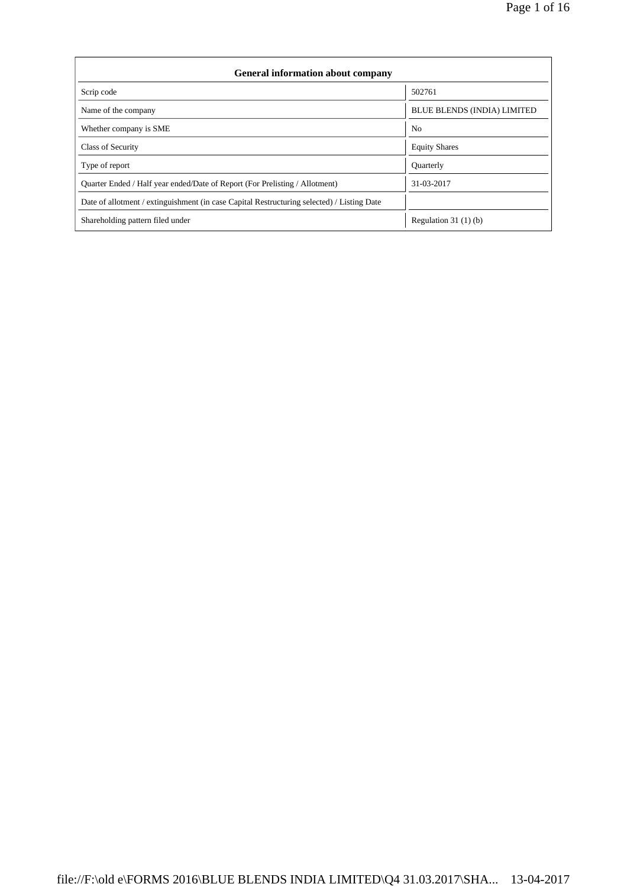| <b>General information about company</b>                                                   |                             |  |  |  |  |  |
|--------------------------------------------------------------------------------------------|-----------------------------|--|--|--|--|--|
| Scrip code                                                                                 | 502761                      |  |  |  |  |  |
| Name of the company                                                                        | BLUE BLENDS (INDIA) LIMITED |  |  |  |  |  |
| Whether company is SME                                                                     | N <sub>o</sub>              |  |  |  |  |  |
| Class of Security                                                                          | <b>Equity Shares</b>        |  |  |  |  |  |
| Type of report                                                                             | <b>Ouarterly</b>            |  |  |  |  |  |
| Quarter Ended / Half year ended/Date of Report (For Prelisting / Allotment)                | 31-03-2017                  |  |  |  |  |  |
| Date of allotment / extinguishment (in case Capital Restructuring selected) / Listing Date |                             |  |  |  |  |  |
| Shareholding pattern filed under                                                           | Regulation 31 $(1)(b)$      |  |  |  |  |  |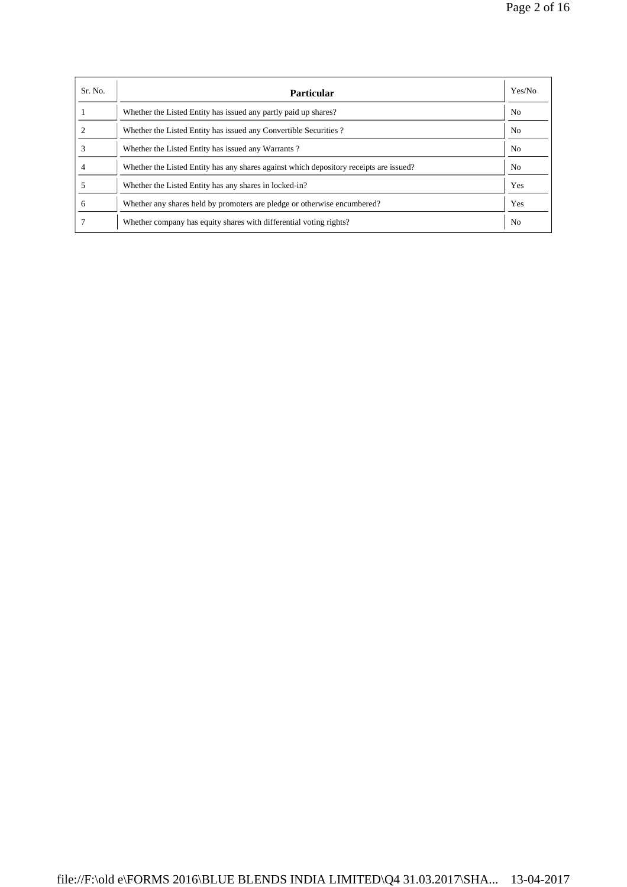| Sr. No. | <b>Particular</b>                                                                      | Yes/No         |
|---------|----------------------------------------------------------------------------------------|----------------|
|         | Whether the Listed Entity has issued any partly paid up shares?                        | N <sub>0</sub> |
|         | Whether the Listed Entity has issued any Convertible Securities?                       | No.            |
|         | Whether the Listed Entity has issued any Warrants?                                     | N <sub>o</sub> |
|         | Whether the Listed Entity has any shares against which depository receipts are issued? | No             |
|         | Whether the Listed Entity has any shares in locked-in?                                 | Yes            |
| 6       | Whether any shares held by promoters are pledge or otherwise encumbered?               | Yes            |
|         | Whether company has equity shares with differential voting rights?                     | No             |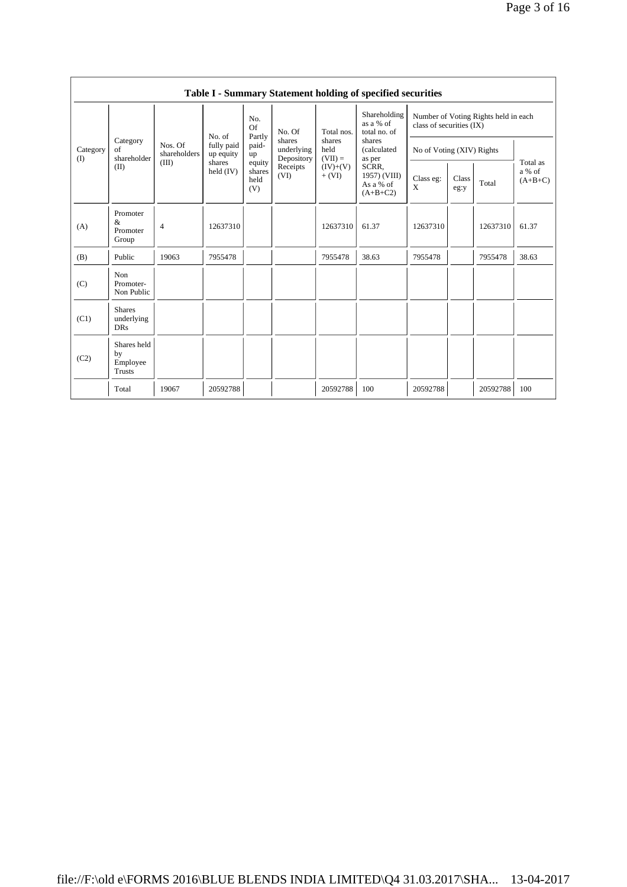|                 |                                                |                         |                         |                                 |                                                  |                        | Table I - Summary Statement holding of specified securities |                                                                  |                                 |                           |       |  |
|-----------------|------------------------------------------------|-------------------------|-------------------------|---------------------------------|--------------------------------------------------|------------------------|-------------------------------------------------------------|------------------------------------------------------------------|---------------------------------|---------------------------|-------|--|
|                 |                                                |                         | No. of                  | No.<br>Of<br>Partly             | No. Of<br>shares<br>shares<br>held<br>underlying | Total nos.             | Shareholding<br>as a % of<br>total no. of                   | Number of Voting Rights held in each<br>class of securities (IX) |                                 |                           |       |  |
| Category<br>(I) | Category<br>of<br>shareholder                  | Nos. Of<br>shareholders | fully paid<br>up equity | paid-<br>up                     |                                                  | Depository             |                                                             | $(VII) =$                                                        | shares<br>(calculated<br>as per | No of Voting (XIV) Rights |       |  |
|                 | (II)                                           | (III)                   | shares<br>held $(IV)$   | equity<br>shares<br>held<br>(V) | Receipts<br>(VI)                                 | $(IV)+(V)$<br>$+ (VI)$ | SCRR.<br>1957) (VIII)<br>As a % of<br>$(A+B+C2)$            | Class eg:<br>X                                                   | Class<br>eg:y                   | Total                     |       |  |
| (A)             | Promoter<br>&<br>Promoter<br>Group             | $\overline{4}$          | 12637310                |                                 |                                                  | 12637310               | 61.37                                                       | 12637310                                                         |                                 | 12637310                  | 61.37 |  |
| (B)             | Public                                         | 19063                   | 7955478                 |                                 |                                                  | 7955478                | 38.63                                                       | 7955478                                                          |                                 | 7955478                   | 38.63 |  |
| (C)             | Non<br>Promoter-<br>Non Public                 |                         |                         |                                 |                                                  |                        |                                                             |                                                                  |                                 |                           |       |  |
| (C1)            | <b>Shares</b><br>underlying<br><b>DRs</b>      |                         |                         |                                 |                                                  |                        |                                                             |                                                                  |                                 |                           |       |  |
| (C2)            | Shares held<br>by<br>Employee<br><b>Trusts</b> |                         |                         |                                 |                                                  |                        |                                                             |                                                                  |                                 |                           |       |  |
|                 | Total                                          | 19067                   | 20592788                |                                 |                                                  | 20592788               | 100                                                         | 20592788                                                         |                                 | 20592788                  | 100   |  |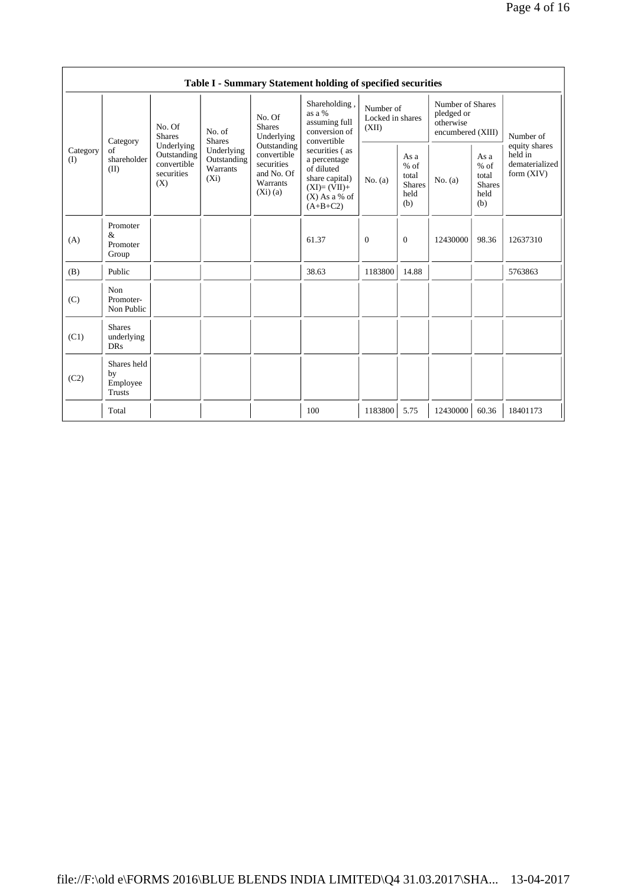|                 |                                                |                                                               |                                                  |                                                                                                                                                                                                   | Table I - Summary Statement holding of specified securities              |                                        |                                                         |                                                                  |                                                         |                                                            |
|-----------------|------------------------------------------------|---------------------------------------------------------------|--------------------------------------------------|---------------------------------------------------------------------------------------------------------------------------------------------------------------------------------------------------|--------------------------------------------------------------------------|----------------------------------------|---------------------------------------------------------|------------------------------------------------------------------|---------------------------------------------------------|------------------------------------------------------------|
|                 | Category                                       | No. Of<br><b>Shares</b>                                       | No. of<br><b>Shares</b>                          | No. Of<br><b>Shares</b><br>Underlying                                                                                                                                                             | Shareholding,<br>as a %<br>assuming full<br>conversion of<br>convertible | Number of<br>Locked in shares<br>(XII) |                                                         | Number of Shares<br>pledged or<br>otherwise<br>encumbered (XIII) |                                                         | Number of                                                  |
| Category<br>(I) | $\sigma$ f<br>shareholder<br>(II)              | Underlying<br>Outstanding<br>convertible<br>securities<br>(X) | Underlying<br>Outstanding<br>Warrants<br>$(X_i)$ | Outstanding<br>securities (as<br>convertible<br>a percentage<br>securities<br>of diluted<br>and No. Of<br>share capital)<br>Warrants<br>$(XI)=(VII)+$<br>(Xi)(a)<br>$(X)$ As a % of<br>$(A+B+C2)$ |                                                                          | No. (a)                                | As a<br>$%$ of<br>total<br><b>Shares</b><br>held<br>(b) | No. $(a)$                                                        | As a<br>$%$ of<br>total<br><b>Shares</b><br>held<br>(b) | equity shares<br>held in<br>dematerialized<br>form $(XIV)$ |
| (A)             | Promoter<br>$\&$<br>Promoter<br>Group          |                                                               |                                                  |                                                                                                                                                                                                   | 61.37                                                                    | $\Omega$                               | $\overline{0}$                                          | 12430000                                                         | 98.36                                                   | 12637310                                                   |
| (B)             | Public                                         |                                                               |                                                  |                                                                                                                                                                                                   | 38.63                                                                    | 1183800                                | 14.88                                                   |                                                                  |                                                         | 5763863                                                    |
| (C)             | Non<br>Promoter-<br>Non Public                 |                                                               |                                                  |                                                                                                                                                                                                   |                                                                          |                                        |                                                         |                                                                  |                                                         |                                                            |
| (C1)            | <b>Shares</b><br>underlying<br><b>DRs</b>      |                                                               |                                                  |                                                                                                                                                                                                   |                                                                          |                                        |                                                         |                                                                  |                                                         |                                                            |
| (C2)            | Shares held<br>by<br>Employee<br><b>Trusts</b> |                                                               |                                                  |                                                                                                                                                                                                   |                                                                          |                                        |                                                         |                                                                  |                                                         |                                                            |
|                 | Total                                          |                                                               |                                                  |                                                                                                                                                                                                   | 100                                                                      | 1183800                                | 5.75                                                    | 12430000                                                         | 60.36                                                   | 18401173                                                   |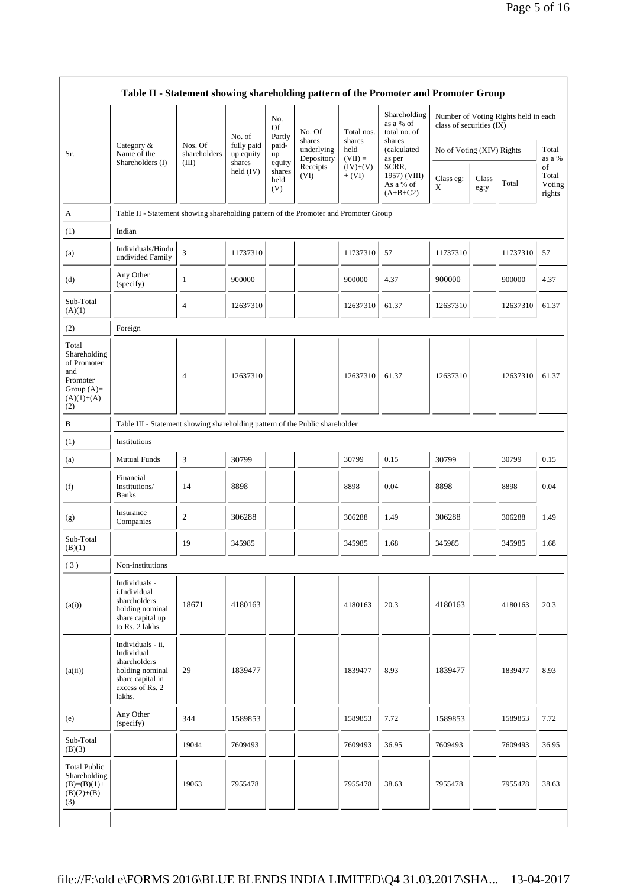|                                                                                                | Table II - Statement showing shareholding pattern of the Promoter and Promoter Group                                |                         |                         |                                 |                                    |                             |                                                  |                           |               |                                      |                                 |
|------------------------------------------------------------------------------------------------|---------------------------------------------------------------------------------------------------------------------|-------------------------|-------------------------|---------------------------------|------------------------------------|-----------------------------|--------------------------------------------------|---------------------------|---------------|--------------------------------------|---------------------------------|
|                                                                                                |                                                                                                                     |                         | No. of                  | No.<br>Of<br>Partly             | No. Of                             | Total nos.                  | Shareholding<br>as a % of<br>total no. of        | class of securities (IX)  |               | Number of Voting Rights held in each |                                 |
| Sr.                                                                                            | Category &<br>Name of the                                                                                           | Nos. Of<br>shareholders | fully paid<br>up equity | paid-<br>up                     | shares<br>underlying<br>Depository | shares<br>held<br>$(VII) =$ | shares<br>(calculated<br>as per                  | No of Voting (XIV) Rights |               |                                      | Total<br>as a %                 |
|                                                                                                | Shareholders (I)                                                                                                    | (III)                   | shares<br>held (IV)     | equity<br>shares<br>held<br>(V) | Receipts<br>(VI)                   | $(IV)+(V)$<br>$+ (VI)$      | SCRR,<br>1957) (VIII)<br>As a % of<br>$(A+B+C2)$ | Class eg:<br>X            | Class<br>eg:y | Total                                | of<br>Total<br>Voting<br>rights |
| A                                                                                              | Table II - Statement showing shareholding pattern of the Promoter and Promoter Group                                |                         |                         |                                 |                                    |                             |                                                  |                           |               |                                      |                                 |
| (1)                                                                                            | Indian                                                                                                              |                         |                         |                                 |                                    |                             |                                                  |                           |               |                                      |                                 |
| (a)                                                                                            | Individuals/Hindu<br>undivided Family                                                                               | 3                       | 11737310                |                                 |                                    | 11737310                    | 57                                               | 11737310                  |               | 11737310                             | 57                              |
| (d)                                                                                            | Any Other<br>(specify)                                                                                              | 1                       | 900000                  |                                 |                                    | 900000                      | 4.37                                             | 900000                    |               | 900000                               | 4.37                            |
| Sub-Total<br>(A)(1)                                                                            |                                                                                                                     | 4                       | 12637310                |                                 |                                    | 12637310                    | 61.37                                            | 12637310                  |               | 12637310                             | 61.37                           |
| (2)                                                                                            | Foreign                                                                                                             |                         |                         |                                 |                                    |                             |                                                  |                           |               |                                      |                                 |
| Total<br>Shareholding<br>of Promoter<br>and<br>Promoter<br>Group $(A)=$<br>$(A)(1)+(A)$<br>(2) |                                                                                                                     | $\overline{4}$          | 12637310                |                                 |                                    | 12637310                    | 61.37                                            | 12637310                  |               | 12637310                             | 61.37                           |
| B                                                                                              | Table III - Statement showing shareholding pattern of the Public shareholder                                        |                         |                         |                                 |                                    |                             |                                                  |                           |               |                                      |                                 |
| (1)                                                                                            | Institutions                                                                                                        |                         |                         |                                 |                                    |                             |                                                  |                           |               |                                      |                                 |
| (a)                                                                                            | <b>Mutual Funds</b>                                                                                                 | 3                       | 30799                   |                                 |                                    | 30799                       | 0.15                                             | 30799                     |               | 30799                                | 0.15                            |
| (f)                                                                                            | Financial<br>Institutions/<br><b>Banks</b>                                                                          | 14                      | 8898                    |                                 |                                    | 8898                        | 0.04                                             | 8898                      |               | 8898                                 | 0.04                            |
| (g)                                                                                            | Insurance<br>Companies                                                                                              | $\boldsymbol{2}$        | 306288                  |                                 |                                    | 306288                      | 1.49                                             | 306288                    |               | 306288                               | 1.49                            |
| Sub-Total<br>(B)(1)                                                                            |                                                                                                                     | 19                      | 345985                  |                                 |                                    | 345985                      | 1.68                                             | 345985                    |               | 345985                               | 1.68                            |
| (3)                                                                                            | Non-institutions                                                                                                    |                         |                         |                                 |                                    |                             |                                                  |                           |               |                                      |                                 |
| (a(i))                                                                                         | Individuals -<br>i.Individual<br>shareholders<br>holding nominal<br>share capital up<br>to Rs. 2 lakhs.             | 18671                   | 4180163                 |                                 |                                    | 4180163                     | 20.3                                             | 4180163                   |               | 4180163                              | 20.3                            |
| (a(ii))                                                                                        | Individuals - ii.<br>Individual<br>shareholders<br>holding nominal<br>share capital in<br>excess of Rs. 2<br>lakhs. | 29                      | 1839477                 |                                 |                                    | 1839477                     | 8.93                                             | 1839477                   |               | 1839477                              | 8.93                            |
| (e)                                                                                            | Any Other<br>(specify)                                                                                              | 344                     | 1589853                 |                                 |                                    | 1589853                     | 7.72                                             | 1589853                   |               | 1589853                              | 7.72                            |
| Sub-Total<br>(B)(3)                                                                            |                                                                                                                     | 19044                   | 7609493                 |                                 |                                    | 7609493                     | 36.95                                            | 7609493                   |               | 7609493                              | 36.95                           |
| <b>Total Public</b><br>Shareholding<br>$(B)=(B)(1)+$<br>$(B)(2)+(B)$<br>(3)                    |                                                                                                                     | 19063                   | 7955478                 |                                 |                                    | 7955478                     | 38.63                                            | 7955478                   |               | 7955478                              | 38.63                           |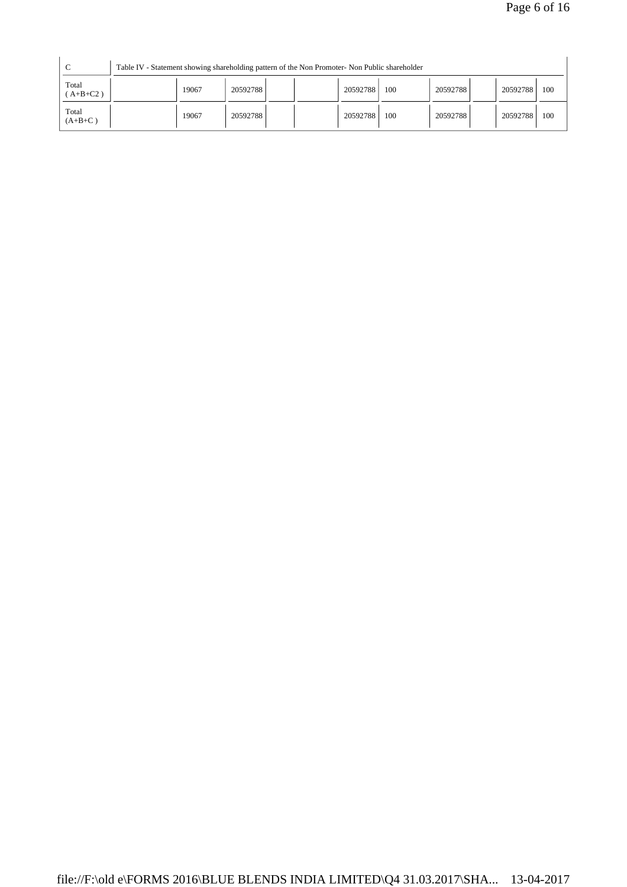| $\sqrt{ }$          |       |          | Table IV - Statement showing shareholding pattern of the Non Promoter- Non Public shareholder |          |     |          |          |     |
|---------------------|-------|----------|-----------------------------------------------------------------------------------------------|----------|-----|----------|----------|-----|
| Total<br>$(A+B+C2)$ | 19067 | 20592788 |                                                                                               | 20592788 | 100 | 20592788 | 20592788 | 100 |
| Total<br>$(A+B+C)$  | 19067 | 20592788 |                                                                                               | 20592788 | 100 | 20592788 | 20592788 | 100 |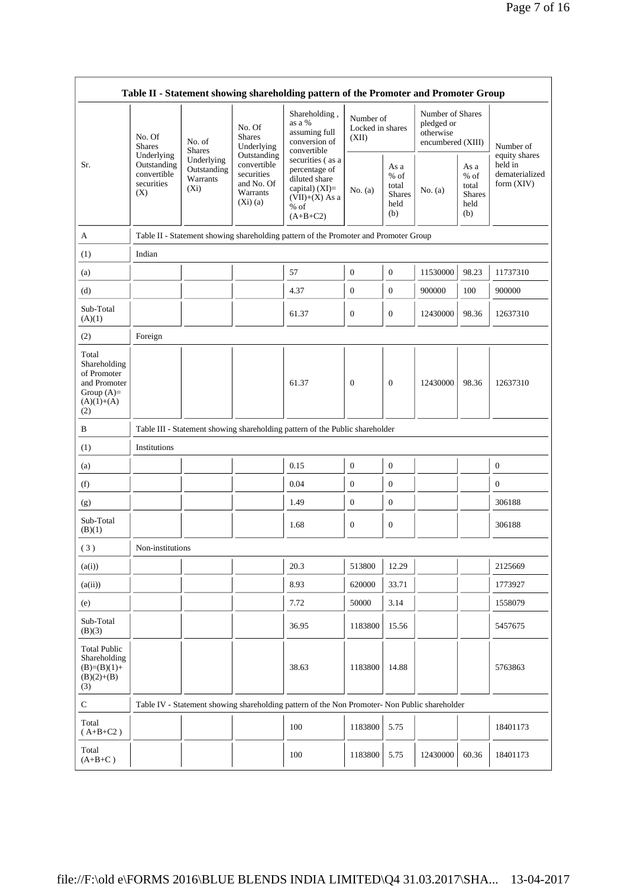|                                                                                             |                                                               |                                                                                                                                                                                  |                                          | Table II - Statement showing shareholding pattern of the Promoter and Promoter Group                           |                                        |                                                         |                                                                  |                                                       |                                                            |
|---------------------------------------------------------------------------------------------|---------------------------------------------------------------|----------------------------------------------------------------------------------------------------------------------------------------------------------------------------------|------------------------------------------|----------------------------------------------------------------------------------------------------------------|----------------------------------------|---------------------------------------------------------|------------------------------------------------------------------|-------------------------------------------------------|------------------------------------------------------------|
|                                                                                             | No. Of<br><b>Shares</b>                                       | No. of<br><b>Shares</b>                                                                                                                                                          | No. Of<br><b>Shares</b><br>Underlying    | Shareholding,<br>as a %<br>assuming full<br>conversion of<br>convertible                                       | Number of<br>Locked in shares<br>(XII) |                                                         | Number of Shares<br>pledged or<br>otherwise<br>encumbered (XIII) |                                                       | Number of                                                  |
| Sr.                                                                                         | Underlying<br>Outstanding<br>convertible<br>securities<br>(X) | Underlying<br>Outstanding<br>securities<br>Warrants<br>$(X_i)$<br>Warrants<br>$(Xi)$ (a)<br>Table II - Statement showing shareholding pattern of the Promoter and Promoter Group | Outstanding<br>convertible<br>and No. Of | securities (as a<br>percentage of<br>diluted share<br>capital) (XI)=<br>$(VII)+(X)$ As a<br>% of<br>$(A+B+C2)$ | No. (a)                                | As a<br>$%$ of<br>total<br><b>Shares</b><br>held<br>(b) | No. $(a)$                                                        | As a<br>% of<br>total<br><b>Shares</b><br>held<br>(b) | equity shares<br>held in<br>dematerialized<br>form $(XIV)$ |
| A                                                                                           |                                                               |                                                                                                                                                                                  |                                          |                                                                                                                |                                        |                                                         |                                                                  |                                                       |                                                            |
| (1)                                                                                         | Indian                                                        |                                                                                                                                                                                  |                                          |                                                                                                                |                                        |                                                         |                                                                  |                                                       |                                                            |
| (a)                                                                                         |                                                               |                                                                                                                                                                                  |                                          | 57                                                                                                             | $\mathbf{0}$                           | $\mathbf{0}$                                            | 11530000                                                         | 98.23                                                 | 11737310                                                   |
| (d)                                                                                         |                                                               |                                                                                                                                                                                  |                                          | 4.37                                                                                                           | $\boldsymbol{0}$                       | $\mathbf{0}$                                            | 900000                                                           | 100                                                   | 900000                                                     |
| Sub-Total<br>(A)(1)                                                                         |                                                               |                                                                                                                                                                                  |                                          | 61.37                                                                                                          | $\boldsymbol{0}$                       | $\boldsymbol{0}$                                        | 12430000                                                         | 98.36                                                 | 12637310                                                   |
| (2)                                                                                         | Foreign                                                       |                                                                                                                                                                                  |                                          |                                                                                                                |                                        |                                                         |                                                                  |                                                       |                                                            |
| Total<br>Shareholding<br>of Promoter<br>and Promoter<br>Group $(A)=$<br>$(A)(1)+(A)$<br>(2) |                                                               |                                                                                                                                                                                  |                                          | 61.37                                                                                                          | $\mathbf{0}$                           | $\mathbf{0}$                                            | 12430000                                                         | 98.36                                                 | 12637310                                                   |
| B                                                                                           |                                                               |                                                                                                                                                                                  |                                          | Table III - Statement showing shareholding pattern of the Public shareholder                                   |                                        |                                                         |                                                                  |                                                       |                                                            |
| (1)                                                                                         | Institutions                                                  |                                                                                                                                                                                  |                                          |                                                                                                                |                                        |                                                         |                                                                  |                                                       |                                                            |
| (a)                                                                                         |                                                               |                                                                                                                                                                                  |                                          | 0.15                                                                                                           | $\boldsymbol{0}$                       | $\mathbf{0}$                                            |                                                                  |                                                       | $\boldsymbol{0}$                                           |
| (f)                                                                                         |                                                               |                                                                                                                                                                                  |                                          | 0.04                                                                                                           | $\boldsymbol{0}$                       | $\mathbf{0}$                                            |                                                                  |                                                       | $\boldsymbol{0}$                                           |
| (g)                                                                                         |                                                               |                                                                                                                                                                                  |                                          | 1.49                                                                                                           | $\boldsymbol{0}$                       | $\mathbf{0}$                                            |                                                                  |                                                       | 306188                                                     |
| Sub-Total<br>(B)(1)                                                                         |                                                               |                                                                                                                                                                                  |                                          | 1.68                                                                                                           | $\boldsymbol{0}$                       | $\boldsymbol{0}$                                        |                                                                  |                                                       | 306188                                                     |
| (3)                                                                                         | Non-institutions                                              |                                                                                                                                                                                  |                                          |                                                                                                                |                                        |                                                         |                                                                  |                                                       |                                                            |
| (a(i))                                                                                      |                                                               |                                                                                                                                                                                  |                                          | 20.3                                                                                                           | 513800                                 | 12.29                                                   |                                                                  |                                                       | 2125669                                                    |
| (a(ii))                                                                                     |                                                               |                                                                                                                                                                                  |                                          | 8.93                                                                                                           | 620000                                 | 33.71                                                   |                                                                  |                                                       | 1773927                                                    |
| (e)                                                                                         |                                                               |                                                                                                                                                                                  |                                          | 7.72                                                                                                           | 50000                                  | 3.14                                                    |                                                                  |                                                       | 1558079                                                    |
| Sub-Total<br>(B)(3)                                                                         |                                                               |                                                                                                                                                                                  |                                          | 36.95                                                                                                          | 1183800                                | 15.56                                                   |                                                                  |                                                       | 5457675                                                    |
| <b>Total Public</b><br>Shareholding<br>$(B)=(B)(1)+$<br>$(B)(2)+(B)$<br>(3)                 |                                                               |                                                                                                                                                                                  |                                          | 38.63                                                                                                          | 1183800                                | 14.88                                                   |                                                                  |                                                       | 5763863                                                    |
| ${\bf C}$                                                                                   |                                                               |                                                                                                                                                                                  |                                          | Table IV - Statement showing shareholding pattern of the Non Promoter- Non Public shareholder                  |                                        |                                                         |                                                                  |                                                       |                                                            |
| Total<br>$(A+B+C2)$                                                                         |                                                               |                                                                                                                                                                                  |                                          | 100                                                                                                            | 1183800                                | 5.75                                                    |                                                                  |                                                       | 18401173                                                   |
| Total<br>$(A+B+C)$                                                                          |                                                               |                                                                                                                                                                                  |                                          | 100                                                                                                            | 1183800                                | 5.75                                                    | 12430000                                                         | 60.36                                                 | 18401173                                                   |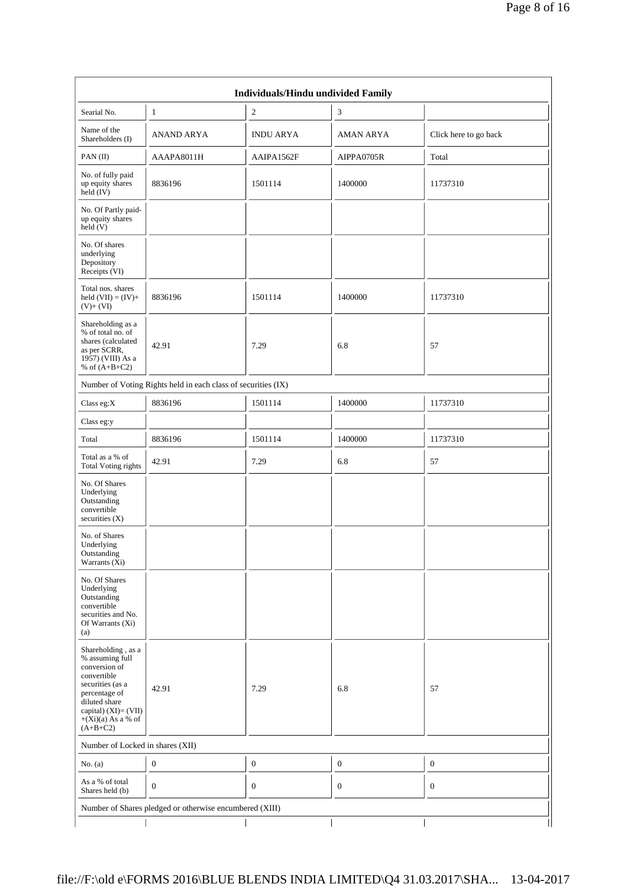|                                                                                                                                                                                              |                                                         | Individuals/Hindu undivided Family |                  |                       |  |  |  |  |  |  |
|----------------------------------------------------------------------------------------------------------------------------------------------------------------------------------------------|---------------------------------------------------------|------------------------------------|------------------|-----------------------|--|--|--|--|--|--|
| Searial No.                                                                                                                                                                                  | $\mathbf{1}$                                            | $\boldsymbol{2}$                   | 3                |                       |  |  |  |  |  |  |
| Name of the<br>Shareholders (I)                                                                                                                                                              | ANAND ARYA                                              | <b>INDU ARYA</b>                   | AMAN ARYA        | Click here to go back |  |  |  |  |  |  |
| PAN(II)                                                                                                                                                                                      | AAAPA8011H                                              | AAIPA1562F                         | AIPPA0705R       | Total                 |  |  |  |  |  |  |
| No. of fully paid<br>up equity shares<br>held $(IV)$                                                                                                                                         | 8836196                                                 | 1501114                            | 1400000          | 11737310              |  |  |  |  |  |  |
| No. Of Partly paid-<br>up equity shares<br>held(V)                                                                                                                                           |                                                         |                                    |                  |                       |  |  |  |  |  |  |
| No. Of shares<br>underlying<br>Depository<br>Receipts (VI)                                                                                                                                   |                                                         |                                    |                  |                       |  |  |  |  |  |  |
| Total nos. shares<br>held $(VII) = (IV) +$<br>$(V)+(VI)$                                                                                                                                     | 8836196                                                 | 1501114                            | 1400000          | 11737310              |  |  |  |  |  |  |
| Shareholding as a<br>% of total no. of<br>shares (calculated<br>as per SCRR,<br>1957) (VIII) As a<br>% of $(A+B+C2)$                                                                         | 42.91                                                   | 7.29                               | 6.8              | 57                    |  |  |  |  |  |  |
| Number of Voting Rights held in each class of securities (IX)                                                                                                                                |                                                         |                                    |                  |                       |  |  |  |  |  |  |
| Class eg:X                                                                                                                                                                                   | 8836196                                                 | 1501114                            | 1400000          | 11737310              |  |  |  |  |  |  |
| Class eg:y                                                                                                                                                                                   |                                                         |                                    |                  |                       |  |  |  |  |  |  |
| Total                                                                                                                                                                                        | 8836196                                                 | 1501114                            | 1400000          | 11737310              |  |  |  |  |  |  |
| Total as a % of<br><b>Total Voting rights</b>                                                                                                                                                | 42.91                                                   | 7.29                               | 6.8              | 57                    |  |  |  |  |  |  |
| No. Of Shares<br>Underlying<br>Outstanding<br>convertible<br>securities $(X)$                                                                                                                |                                                         |                                    |                  |                       |  |  |  |  |  |  |
| No. of Shares<br>Underlying<br>Outstanding<br>Warrants (Xi)                                                                                                                                  |                                                         |                                    |                  |                       |  |  |  |  |  |  |
| No. Of Shares<br>Underlying<br>Outstanding<br>convertible<br>securities and No.<br>Of Warrants (Xi)<br>(a)                                                                                   |                                                         |                                    |                  |                       |  |  |  |  |  |  |
| Shareholding, as a<br>% assuming full<br>conversion of<br>convertible<br>securities (as a<br>percentage of<br>diluted share<br>capital) $(XI) = (VII)$<br>$+(Xi)(a)$ As a % of<br>$(A+B+C2)$ | 42.91                                                   | 7.29                               | 6.8              | 57                    |  |  |  |  |  |  |
| Number of Locked in shares (XII)                                                                                                                                                             |                                                         |                                    |                  |                       |  |  |  |  |  |  |
| No. $(a)$                                                                                                                                                                                    | $\boldsymbol{0}$                                        | $\mathbf{0}$                       | $\boldsymbol{0}$ | $\boldsymbol{0}$      |  |  |  |  |  |  |
| As a % of total<br>Shares held (b)                                                                                                                                                           | $\mathbf{0}$                                            | $\mathbf{0}$                       | $\mathbf{0}$     | $\mathbf{0}$          |  |  |  |  |  |  |
|                                                                                                                                                                                              | Number of Shares pledged or otherwise encumbered (XIII) |                                    |                  |                       |  |  |  |  |  |  |
|                                                                                                                                                                                              |                                                         |                                    |                  |                       |  |  |  |  |  |  |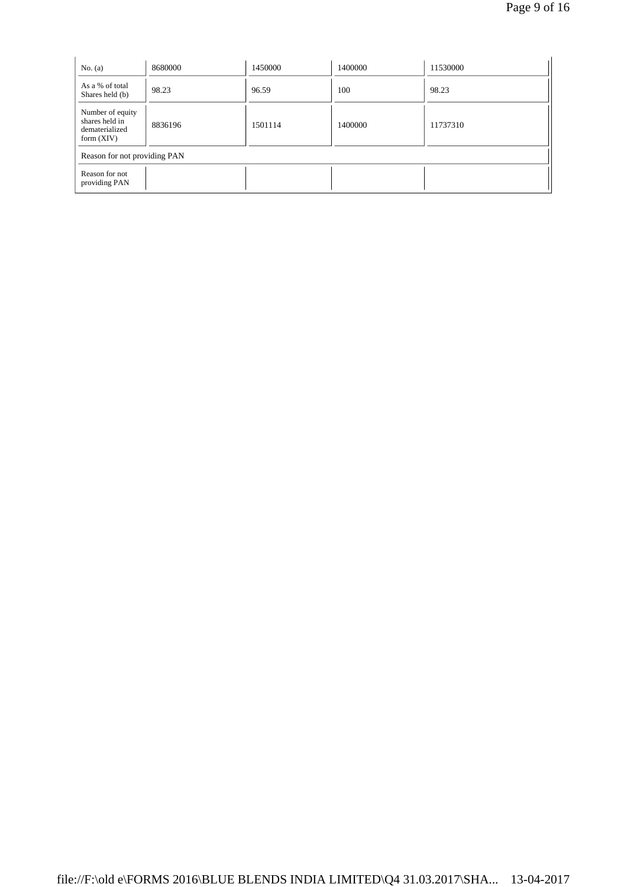| No. $(a)$                                                            | 8680000 | 1450000 | 1400000 | 11530000 |  |  |  |
|----------------------------------------------------------------------|---------|---------|---------|----------|--|--|--|
| As a % of total<br>Shares held (b)                                   | 98.23   | 96.59   | 100     | 98.23    |  |  |  |
| Number of equity<br>shares held in<br>dematerialized<br>form $(XIV)$ | 8836196 | 1501114 | 1400000 | 11737310 |  |  |  |
| Reason for not providing PAN                                         |         |         |         |          |  |  |  |
| Reason for not<br>providing PAN                                      |         |         |         |          |  |  |  |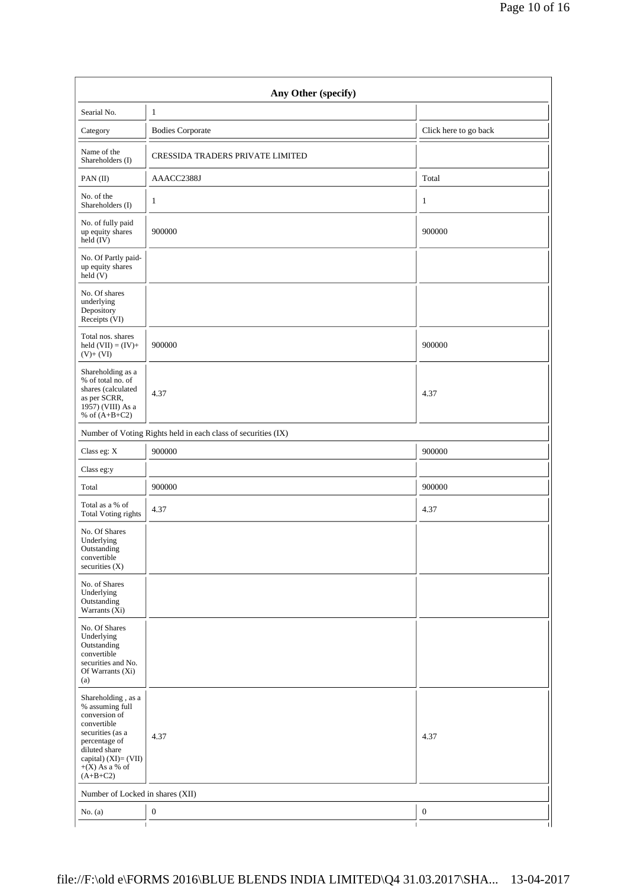|                                                                                                                                                                                       | Any Other (specify)                                           |                       |
|---------------------------------------------------------------------------------------------------------------------------------------------------------------------------------------|---------------------------------------------------------------|-----------------------|
| Searial No.                                                                                                                                                                           | $\mathbf{1}$                                                  |                       |
| Category                                                                                                                                                                              | <b>Bodies Corporate</b>                                       | Click here to go back |
| Name of the<br>Shareholders (I)                                                                                                                                                       | CRESSIDA TRADERS PRIVATE LIMITED                              |                       |
| PAN(II)                                                                                                                                                                               | AAACC2388J                                                    | Total                 |
| No. of the<br>Shareholders (I)                                                                                                                                                        | 1                                                             | 1                     |
| No. of fully paid<br>up equity shares<br>held (IV)                                                                                                                                    | 900000                                                        | 900000                |
| No. Of Partly paid-<br>up equity shares<br>held (V)                                                                                                                                   |                                                               |                       |
| No. Of shares<br>underlying<br>Depository<br>Receipts (VI)                                                                                                                            |                                                               |                       |
| Total nos. shares<br>held $(VII) = (IV) +$<br>$(V) + (VI)$                                                                                                                            | 900000                                                        | 900000                |
| Shareholding as a<br>% of total no. of<br>shares (calculated<br>as per SCRR,<br>1957) (VIII) As a<br>% of $(A+B+C2)$                                                                  | 4.37                                                          | 4.37                  |
|                                                                                                                                                                                       | Number of Voting Rights held in each class of securities (IX) |                       |
| Class eg: X                                                                                                                                                                           | 900000                                                        | 900000                |
| Class eg:y                                                                                                                                                                            |                                                               |                       |
| Total                                                                                                                                                                                 | 900000                                                        | 900000                |
| Total as a % of<br>Total Voting rights                                                                                                                                                | 4.37                                                          | 4.37                  |
| No. Of Shares<br>Underlying<br>Outstanding<br>convertible<br>securities (X)                                                                                                           |                                                               |                       |
| No. of Shares<br>Underlying<br>Outstanding<br>Warrants (Xi)                                                                                                                           |                                                               |                       |
| No. Of Shares<br>Underlying<br>Outstanding<br>convertible<br>securities and No.<br>Of Warrants (Xi)<br>(a)                                                                            |                                                               |                       |
| Shareholding, as a<br>% assuming full<br>conversion of<br>convertible<br>securities (as a<br>percentage of<br>diluted share<br>capital) (XI)= (VII)<br>$+(X)$ As a % of<br>$(A+B+C2)$ | 4.37                                                          | 4.37                  |
| Number of Locked in shares (XII)                                                                                                                                                      |                                                               |                       |
| No. $(a)$                                                                                                                                                                             | $\boldsymbol{0}$                                              | $\boldsymbol{0}$      |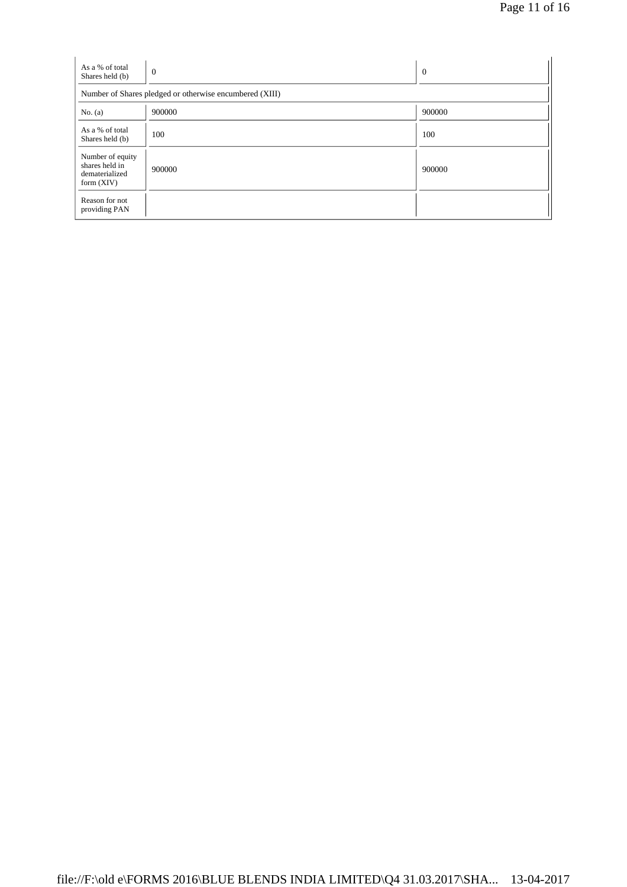| As a % of total<br>Shares held (b)                                   | $\theta$                                                | $\overline{0}$ |
|----------------------------------------------------------------------|---------------------------------------------------------|----------------|
|                                                                      | Number of Shares pledged or otherwise encumbered (XIII) |                |
| No. $(a)$                                                            | 900000                                                  | 900000         |
| As a % of total<br>Shares held (b)                                   | 100                                                     | 100            |
| Number of equity<br>shares held in<br>dematerialized<br>form $(XIV)$ | 900000                                                  | 900000         |
| Reason for not<br>providing PAN                                      |                                                         |                |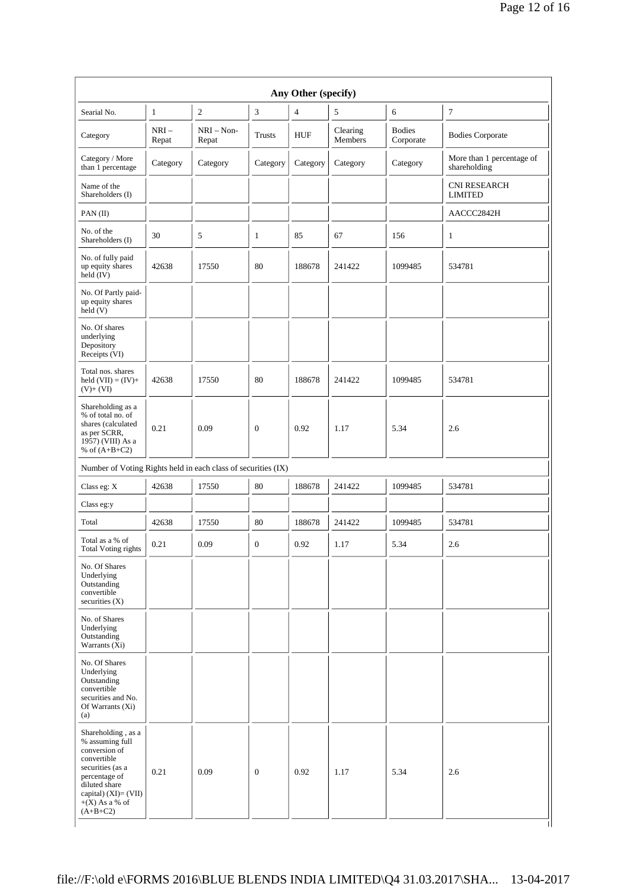| Searial No.                                                                                                                                         | $\mathbf{1}$    | $\mathbf{2}$          | 3              | $\overline{4}$ | 5                   | 6                          | $\tau$                                    |
|-----------------------------------------------------------------------------------------------------------------------------------------------------|-----------------|-----------------------|----------------|----------------|---------------------|----------------------------|-------------------------------------------|
| Category                                                                                                                                            | $NRI-$<br>Repat | $NRI - Non-$<br>Repat | Trusts         | <b>HUF</b>     | Clearing<br>Members | <b>Bodies</b><br>Corporate | <b>Bodies Corporate</b>                   |
| Category / More<br>than 1 percentage                                                                                                                | Category        | Category              | Category       | Category       | Category            | Category                   | More than 1 percentage of<br>shareholding |
| Name of the<br>Shareholders (I)                                                                                                                     |                 |                       |                |                |                     |                            | <b>CNI RESEARCH</b><br><b>LIMITED</b>     |
| PAN(II)                                                                                                                                             |                 |                       |                |                |                     |                            | AACCC2842H                                |
| No. of the<br>Shareholders (I)                                                                                                                      | 30              | 5                     | $\mathbf{1}$   | 85             | 67                  | 156                        | 1                                         |
| No. of fully paid<br>up equity shares<br>$held$ (IV)                                                                                                | 42638           | 17550                 | 80             | 188678         | 241422              | 1099485                    | 534781                                    |
| No. Of Partly paid-<br>up equity shares<br>$\text{held}(V)$                                                                                         |                 |                       |                |                |                     |                            |                                           |
| No. Of shares<br>underlying<br>Depository<br>Receipts (VI)                                                                                          |                 |                       |                |                |                     |                            |                                           |
| Total nos. shares<br>held $(VII) = (IV) +$<br>$(V)+(VI)$                                                                                            | 42638           | 17550                 | 80             | 188678         | 241422              | 1099485                    | 534781                                    |
| Shareholding as a<br>% of total no. of<br>shares (calculated<br>as per SCRR,<br>1957) (VIII) As a<br>% of $(A+B+C2)$                                | 0.21            | 0.09                  | $\overline{0}$ | 0.92           | 1.17                | 5.34                       | 2.6                                       |
| Number of Voting Rights held in each class of securities (IX)                                                                                       |                 |                       |                |                |                     |                            |                                           |
| Class eg: X                                                                                                                                         | 42638           | 17550                 | 80             | 188678         | 241422              | 1099485                    | 534781                                    |
| Class eg:y                                                                                                                                          |                 |                       |                |                |                     |                            |                                           |
| Total                                                                                                                                               | 42638           | 17550                 | 80             | 188678         | 241422              | 1099485                    | 534781                                    |
| Total as a % of<br>Total Voting rights                                                                                                              | 0.21            | 0.09                  | $\overline{0}$ | 0.92           | 1.17                | 5.34                       | 2.6                                       |
| No. Of Shares<br>Underlying<br>Outstanding<br>convertible<br>securities (X)                                                                         |                 |                       |                |                |                     |                            |                                           |
| No. of Shares<br>Underlying<br>Outstanding<br>Warrants $(X_i)$                                                                                      |                 |                       |                |                |                     |                            |                                           |
| No. Of Shares<br>Underlying<br>Outstanding<br>convertible<br>securities and No.<br>Of Warrants $(X_i)$<br>(a)                                       |                 |                       |                |                |                     |                            |                                           |
| Shareholding, as a<br>% assuming full<br>conversion of<br>convertible<br>securities (as a<br>percentage of<br>diluted share<br>capital) (XI)= (VII) | 0.21            | 0.09                  | $\overline{0}$ | 0.92           | 1.17                | 5.34                       | 2.6                                       |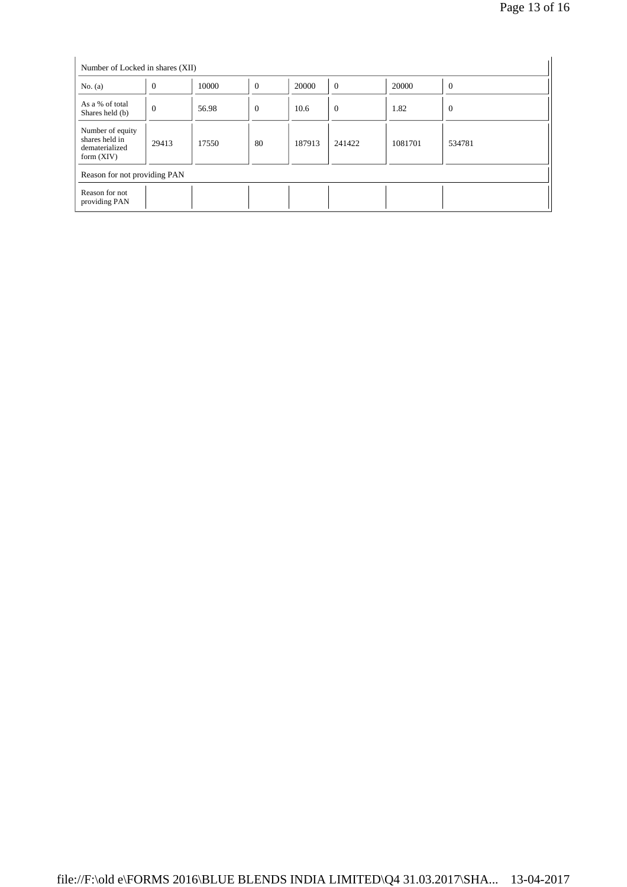| Number of Locked in shares (XII)                                     |          |       |                  |        |          |         |                |
|----------------------------------------------------------------------|----------|-------|------------------|--------|----------|---------|----------------|
| No. $(a)$                                                            | $\theta$ | 10000 | $\boldsymbol{0}$ | 20000  | $\theta$ | 20000   | $\overline{0}$ |
| As a % of total<br>Shares held (b)                                   | $\theta$ | 56.98 | $\theta$         | 10.6   | $\theta$ | 1.82    | $\theta$       |
| Number of equity<br>shares held in<br>dematerialized<br>form $(XIV)$ | 29413    | 17550 | 80               | 187913 | 241422   | 1081701 | 534781         |
| Reason for not providing PAN                                         |          |       |                  |        |          |         |                |
| Reason for not<br>providing PAN                                      |          |       |                  |        |          |         |                |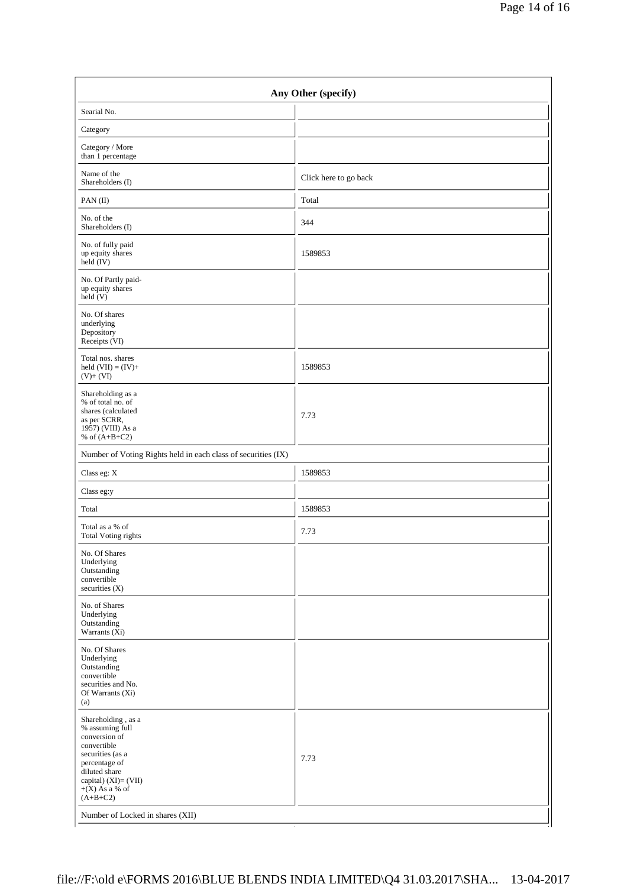| Click here to go back<br>Total                                |  |  |  |  |
|---------------------------------------------------------------|--|--|--|--|
|                                                               |  |  |  |  |
|                                                               |  |  |  |  |
|                                                               |  |  |  |  |
|                                                               |  |  |  |  |
|                                                               |  |  |  |  |
| 344                                                           |  |  |  |  |
| 1589853                                                       |  |  |  |  |
|                                                               |  |  |  |  |
|                                                               |  |  |  |  |
| 1589853                                                       |  |  |  |  |
| 7.73                                                          |  |  |  |  |
| Number of Voting Rights held in each class of securities (IX) |  |  |  |  |
| 1589853                                                       |  |  |  |  |
|                                                               |  |  |  |  |
| 1589853                                                       |  |  |  |  |
| 7.73                                                          |  |  |  |  |
|                                                               |  |  |  |  |
|                                                               |  |  |  |  |
|                                                               |  |  |  |  |
| 7.73                                                          |  |  |  |  |
|                                                               |  |  |  |  |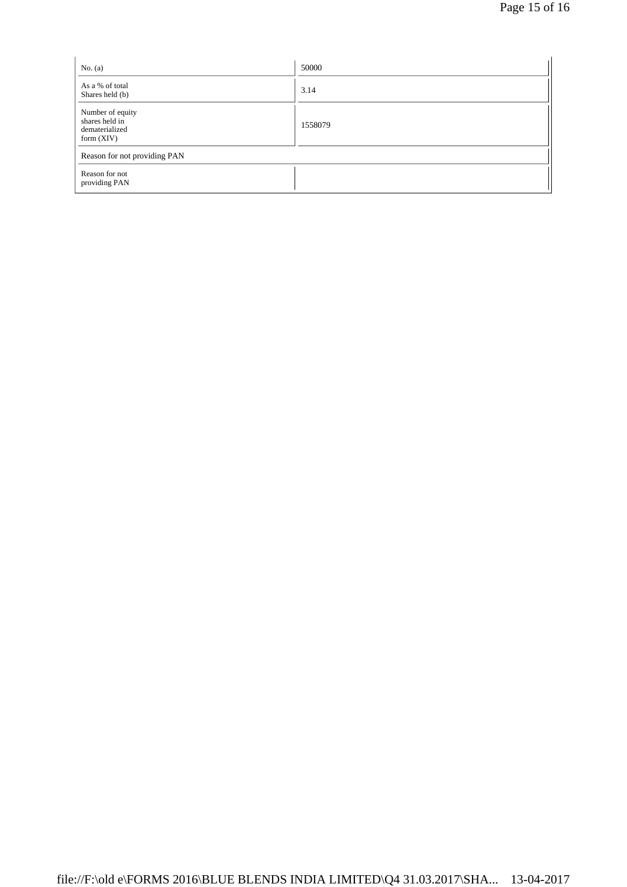| No. $(a)$                                                            | 50000   |
|----------------------------------------------------------------------|---------|
| As a % of total<br>Shares held (b)                                   | 3.14    |
| Number of equity<br>shares held in<br>dematerialized<br>form $(XIV)$ | 1558079 |
| Reason for not providing PAN                                         |         |
| Reason for not<br>providing PAN                                      |         |